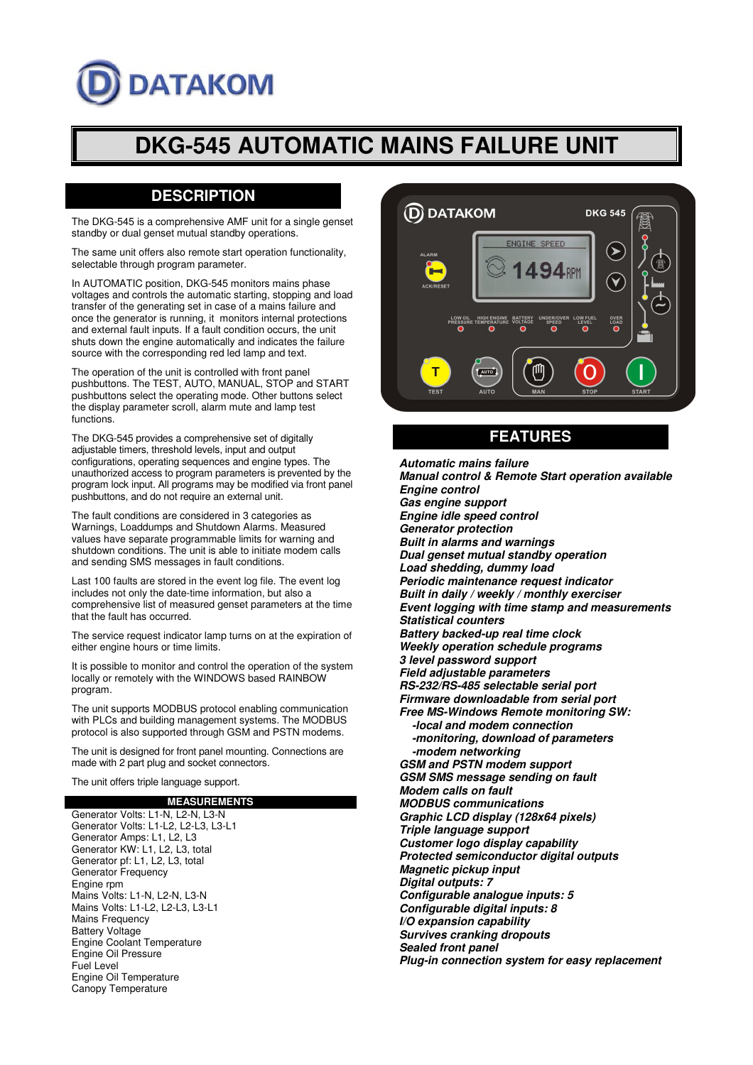# **DATAKOM**

## **DKG-545 AUTOMATIC MAINS FAILURE UNIT**

## **DESCRIPTION**

The DKG-545 is a comprehensive AMF unit for a single genset standby or dual genset mutual standby operations.

The same unit offers also remote start operation functionality, selectable through program parameter.

In AUTOMATIC position, DKG-545 monitors mains phase voltages and controls the automatic starting, stopping and load transfer of the generating set in case of a mains failure and once the generator is running, it monitors internal protections and external fault inputs. If a fault condition occurs, the unit shuts down the engine automatically and indicates the failure source with the corresponding red led lamp and text.

The operation of the unit is controlled with front panel pushbuttons. The TEST, AUTO, MANUAL, STOP and START pushbuttons select the operating mode. Other buttons select the display parameter scroll, alarm mute and lamp test functions.

The DKG-545 provides a comprehensive set of digitally adjustable timers, threshold levels, input and output configurations, operating sequences and engine types. The unauthorized access to program parameters is prevented by the program lock input. All programs may be modified via front panel pushbuttons, and do not require an external unit.

The fault conditions are considered in 3 categories as Warnings, Loaddumps and Shutdown Alarms. Measured values have separate programmable limits for warning and shutdown conditions. The unit is able to initiate modem calls and sending SMS messages in fault conditions.

Last 100 faults are stored in the event log file. The event log includes not only the date-time information, but also a comprehensive list of measured genset parameters at the time that the fault has occurred.

The service request indicator lamp turns on at the expiration of either engine hours or time limits.

It is possible to monitor and control the operation of the system locally or remotely with the WINDOWS based RAINBOW program.

The unit supports MODBUS protocol enabling communication with PLCs and building management systems. The MODBUS protocol is also supported through GSM and PSTN modems.

The unit is designed for front panel mounting. Connections are made with 2 part plug and socket connectors.

The unit offers triple language support.

#### **MEASUREMENTS**

Generator Volts: L1-N, L2-N, L3-N Generator Volts: L1-L2, L2-L3, L3-L1 Generator Amps: L1, L2, L3 Generator KW: L1, L2, L3, total Generator pf: L1, L2, L3, total Generator Frequency Engine rpm Mains Volts: L1-N, L2-N, L3-N Mains Volts: L1-L2, L2-L3, L3-L1 Mains Frequency Battery Voltage Engine Coolant Temperature Engine Oil Pressure Fuel Level Engine Oil Temperature Canopy Temperature



### **FEATURES**

**Automatic mains failure Manual control & Remote Start operation available Engine control Gas engine support Engine idle speed control Generator protection Built in alarms and warnings Dual genset mutual standby operation Load shedding, dummy load Periodic maintenance request indicator Built in daily / weekly / monthly exerciser Event logging with time stamp and measurements Statistical counters Battery backed-up real time clock Weekly operation schedule programs 3 level password support Field adjustable parameters RS-232/RS-485 selectable serial port Firmware downloadable from serial port Free MS-Windows Remote monitoring SW: -local and modem connection -monitoring, download of parameters -modem networking GSM and PSTN modem support GSM SMS message sending on fault Modem calls on fault MODBUS communications Graphic LCD display (128x64 pixels) Triple language support Customer logo display capability Protected semiconductor digital outputs Magnetic pickup input Digital outputs: 7 Configurable analogue inputs: 5 Configurable digital inputs: 8 I/O expansion capability Survives cranking dropouts Sealed front panel Plug-in connection system for easy replacement**